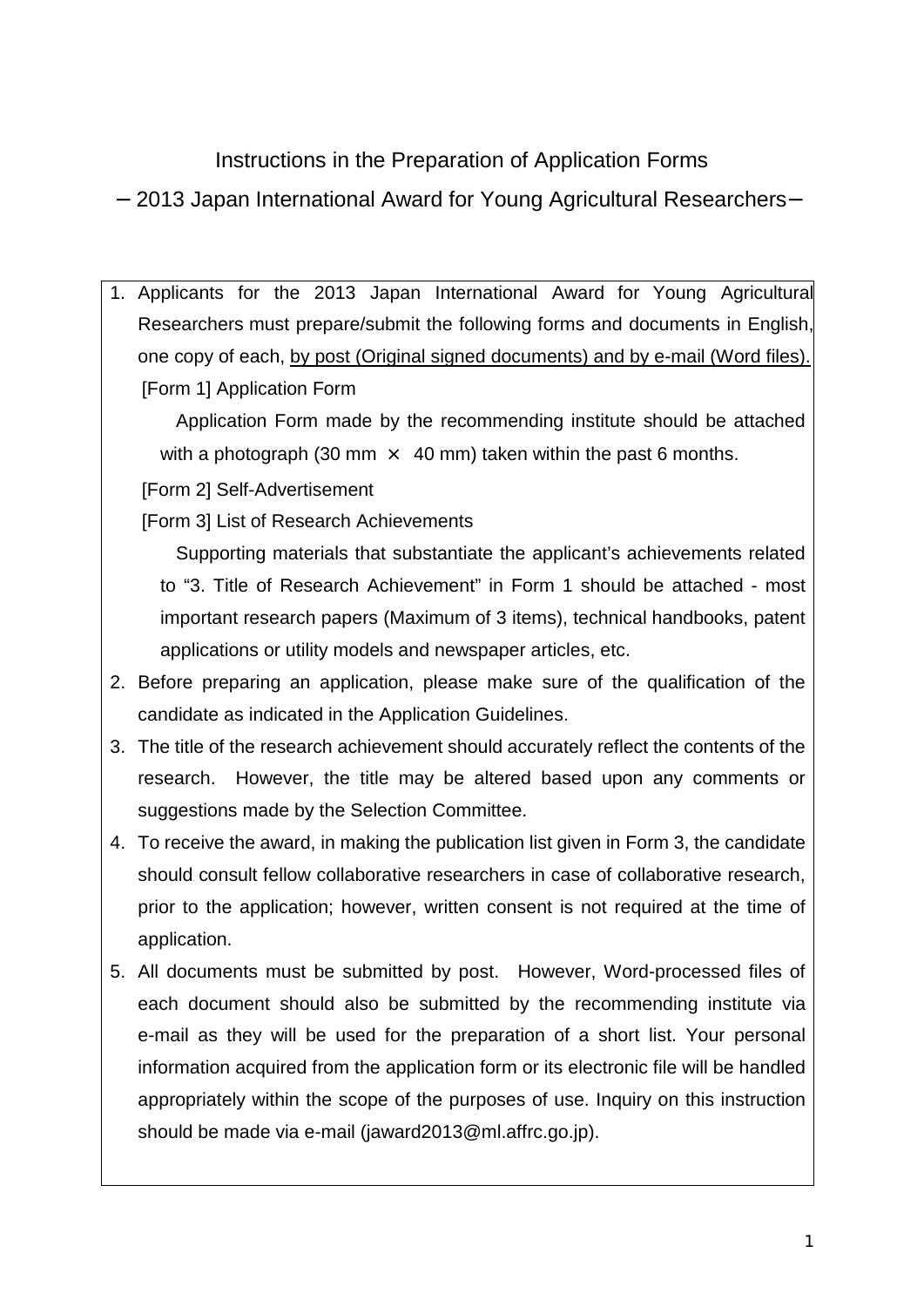Instructions in the Preparation of Application Forms 2013 Japan International Award for Young Agricultural Researchers

1. Applicants for the 2013 Japan International Award for Young Agricultural Researchers must prepare/submit the following forms and documents in English, one copy of each, by post (Original signed documents) and by e-mail (Word files). [Form 1] Application Form

Application Form made by the recommending institute should be attached with a photograph (30 mm  $\times$  40 mm) taken within the past 6 months.

[Form 2] Self-Advertisement

[Form 3] List of Research Achievements

Supporting materials that substantiate the applicant's achievements related to "3. Title of Research Achievement" in Form 1 should be attached - most important research papers (Maximum of 3 items), technical handbooks, patent applications or utility models and newspaper articles, etc.

- 2. Before preparing an application, please make sure of the qualification of the candidate as indicated in the Application Guidelines.
- 3. The title of the research achievement should accurately reflect the contents of the research. However, the title may be altered based upon any comments or suggestions made by the Selection Committee.
- 4. To receive the award, in making the publication list given in Form 3, the candidate should consult fellow collaborative researchers in case of collaborative research, prior to the application; however, written consent is not required at the time of application.
- 5. All documents must be submitted by post. However, Word-processed files of each document should also be submitted by the recommending institute via e-mail as they will be used for the preparation of a short list. Your personal information acquired from the application form or its electronic file will be handled appropriately within the scope of the purposes of use. Inquiry on this instruction should be made via e-mail (jaward2013@ml.affrc.go.jp).